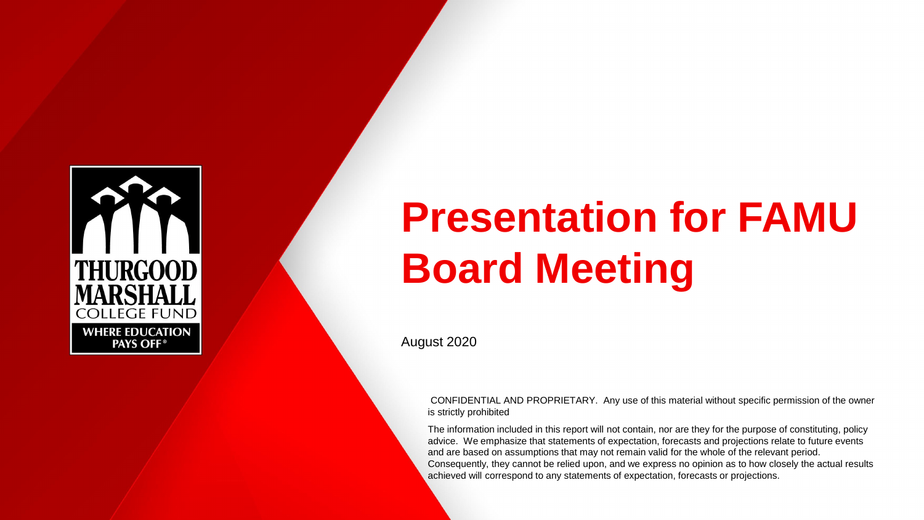

# **Presentation for FAMU Board Meeting**

August 2020

CONFIDENTIAL AND PROPRIETARY. Any use of this material without specific permission of the owner is strictly prohibited

The information included in this report will not contain, nor are they for the purpose of constituting, policy advice. We emphasize that statements of expectation, forecasts and projections relate to future events and are based on assumptions that may not remain valid for the whole of the relevant period. Consequently, they cannot be relied upon, and we express no opinion as to how closely the actual results achieved will correspond to any statements of expectation, forecasts or projections.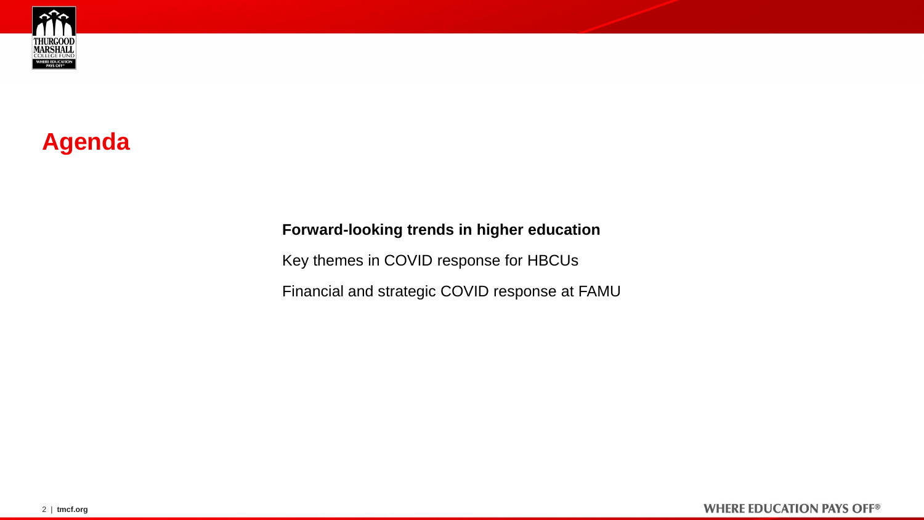<span id="page-1-0"></span>

# **Agenda**

## **Forward-looking trends in higher education**

[Key themes in COVID response for HBCUs](#page-3-0)

[Financial and strategic COVID response at FAMU](#page-7-0)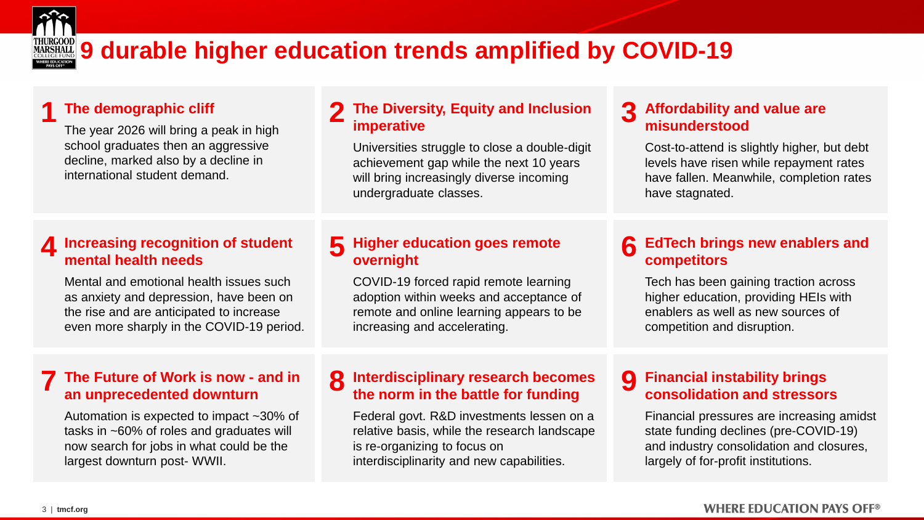

# **MARSHALL** 9 durable higher education trends amplified by COVID-19

#### **1 The demographic cliff**

The year 2026 will bring a peak in high school graduates then an aggressive decline, marked also by a decline in international student demand.

#### **2 The Diversity, Equity and Inclusion imperative**

Universities struggle to close a double-digit achievement gap while the next 10 years will bring increasingly diverse incoming undergraduate classes.

#### **3 Affordability and value are misunderstood**

Cost-to-attend is slightly higher, but debt levels have risen while repayment rates have fallen. Meanwhile, completion rates have stagnated.

## **4 Increasing recognition of student mental health needs**

Mental and emotional health issues such as anxiety and depression, have been on the rise and are anticipated to increase even more sharply in the COVID-19 period.

#### **7 The Future of Work is now - and in an unprecedented downturn**

Automation is expected to impact ~30% of tasks in ~60% of roles and graduates will now search for jobs in what could be the largest downturn post- WWII.

## **5 Higher education goes remote overnight**

COVID-19 forced rapid remote learning adoption within weeks and acceptance of remote and online learning appears to be increasing and accelerating.

## **6** EdTech brings new enablers and **competitors**

Tech has been gaining traction across higher education, providing HEIs with enablers as well as new sources of competition and disruption.

#### **8 Interdisciplinary research becomes the norm in the battle for funding**

Federal govt. R&D investments lessen on a relative basis, while the research landscape is re-organizing to focus on interdisciplinarity and new capabilities.

## **9 Financial instability brings consolidation and stressors**

Financial pressures are increasing amidst state funding declines (pre-COVID-19) and industry consolidation and closures, largely of for-profit institutions.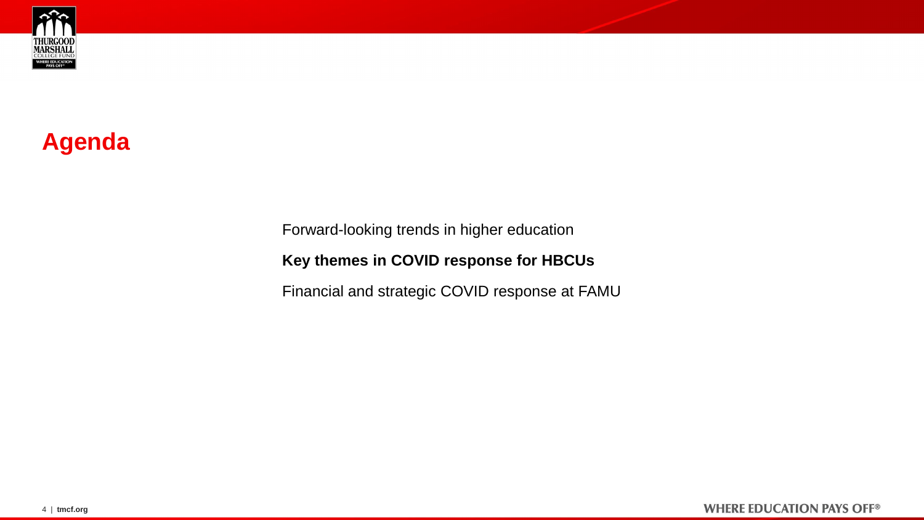<span id="page-3-0"></span>

# **Agenda**

[Forward-looking trends in higher education](#page-1-0)

**Key themes in COVID response for HBCUs**

[Financial and strategic COVID response at FAMU](#page-7-0)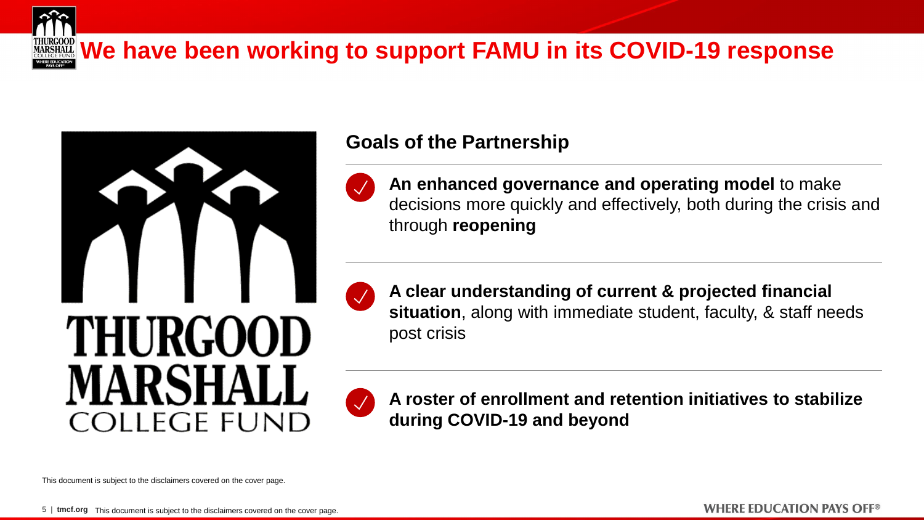



## **Goals of the Partnership**



**An enhanced governance and operating model** to make decisions more quickly and effectively, both during the crisis and through **reopening**



**A clear understanding of current & projected financial situation**, along with immediate student, faculty, & staff needs post crisis



**A roster of enrollment and retention initiatives to stabilize during COVID-19 and beyond**

This document is subject to the disclaimers covered on the cover page.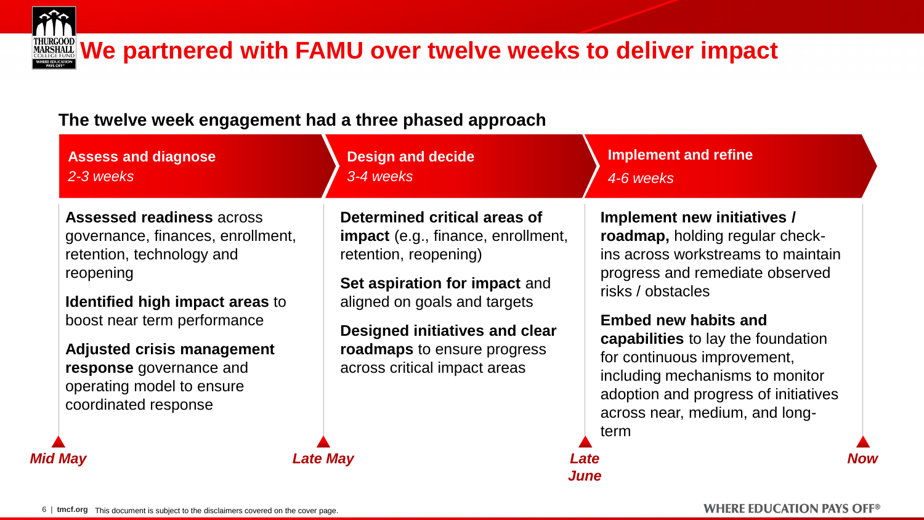

# **We partnered with FAMU over twelve weeks to deliver impact**

## **The twelve week engagement had a three phased approach**

| <b>Assess and diagnose</b><br>2-3 weeks                                                                                                                                                                                                                                                                | <b>Design and decide</b><br>3-4 weeks                                                                                                                                                                                                                                       | <b>Implement and refine</b><br>4-6 weeks                                                                                                                                                                                                                                                                                                                                                     |     |
|--------------------------------------------------------------------------------------------------------------------------------------------------------------------------------------------------------------------------------------------------------------------------------------------------------|-----------------------------------------------------------------------------------------------------------------------------------------------------------------------------------------------------------------------------------------------------------------------------|----------------------------------------------------------------------------------------------------------------------------------------------------------------------------------------------------------------------------------------------------------------------------------------------------------------------------------------------------------------------------------------------|-----|
| <b>Assessed readiness across</b><br>governance, finances, enrollment,<br>retention, technology and<br>reopening<br>Identified high impact areas to<br>boost near term performance<br><b>Adjusted crisis management</b><br>response governance and<br>operating model to ensure<br>coordinated response | Determined critical areas of<br><b>impact</b> (e.g., finance, enrollment,<br>retention, reopening)<br>Set aspiration for impact and<br>aligned on goals and targets<br>Designed initiatives and clear<br><b>roadmaps</b> to ensure progress<br>across critical impact areas | Implement new initiatives /<br>roadmap, holding regular check-<br>ins across workstreams to maintain<br>progress and remediate observed<br>risks / obstacles<br><b>Embed new habits and</b><br><b>capabilities</b> to lay the foundation<br>for continuous improvement,<br>including mechanisms to monitor<br>adoption and progress of initiatives<br>across near, medium, and long-<br>term |     |
| <b>Mid May</b>                                                                                                                                                                                                                                                                                         | Late May                                                                                                                                                                                                                                                                    | Late<br><i><b>June</b></i>                                                                                                                                                                                                                                                                                                                                                                   | Now |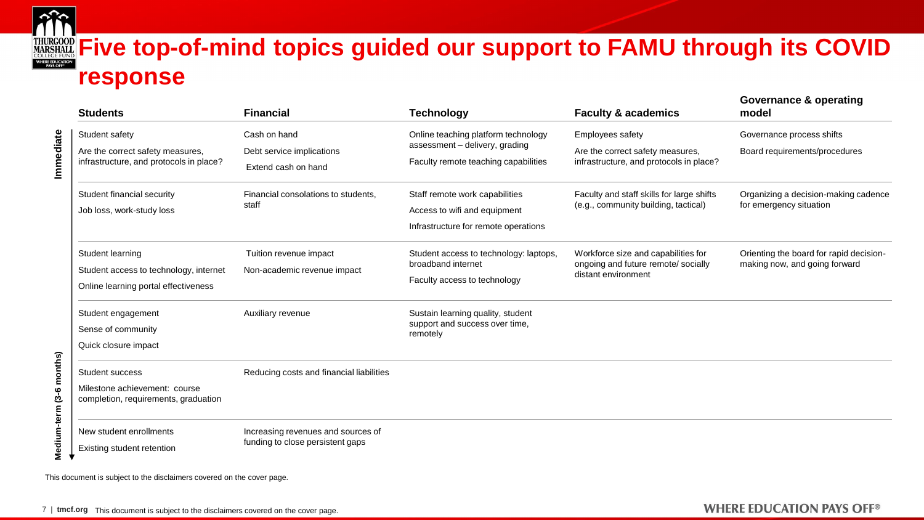

# **FIGROOD Five top-of-mind topics guided our support to FAMU through its COVID response**

| <b>Students</b>                                                                                    | <b>Financial</b>                                                       | <b>Technology</b>                                                                                      | <b>Faculty &amp; academics</b>                                                                    | <b>Governance &amp; operating</b><br>model                               |  |  |
|----------------------------------------------------------------------------------------------------|------------------------------------------------------------------------|--------------------------------------------------------------------------------------------------------|---------------------------------------------------------------------------------------------------|--------------------------------------------------------------------------|--|--|
| Student safety                                                                                     | Cash on hand                                                           | Online teaching platform technology                                                                    | Employees safety                                                                                  | Governance process shifts                                                |  |  |
| Are the correct safety measures,<br>infrastructure, and protocols in place?                        | Debt service implications<br>Extend cash on hand                       | assessment - delivery, grading<br>Faculty remote teaching capabilities                                 | Are the correct safety measures,<br>infrastructure, and protocols in place?                       | Board requirements/procedures                                            |  |  |
| Student financial security<br>Job loss, work-study loss                                            | Financial consolations to students,<br>staff                           | Staff remote work capabilities<br>Access to wifi and equipment<br>Infrastructure for remote operations | Faculty and staff skills for large shifts<br>(e.g., community building, tactical)                 | Organizing a decision-making cadence<br>for emergency situation          |  |  |
| Student learning<br>Student access to technology, internet<br>Online learning portal effectiveness | Tuition revenue impact<br>Non-academic revenue impact                  | Student access to technology: laptops,<br>broadband internet<br>Faculty access to technology           | Workforce size and capabilities for<br>ongoing and future remote/ socially<br>distant environment | Orienting the board for rapid decision-<br>making now, and going forward |  |  |
| Student engagement<br>Sense of community<br>Quick closure impact                                   | Auxiliary revenue                                                      | Sustain learning quality, student<br>support and success over time,<br>remotely                        |                                                                                                   |                                                                          |  |  |
| Student success<br>Milestone achievement: course<br>completion, requirements, graduation           | Reducing costs and financial liabilities                               |                                                                                                        |                                                                                                   |                                                                          |  |  |
| New student enrollments<br>Existing student retention                                              | Increasing revenues and sources of<br>funding to close persistent gaps |                                                                                                        |                                                                                                   |                                                                          |  |  |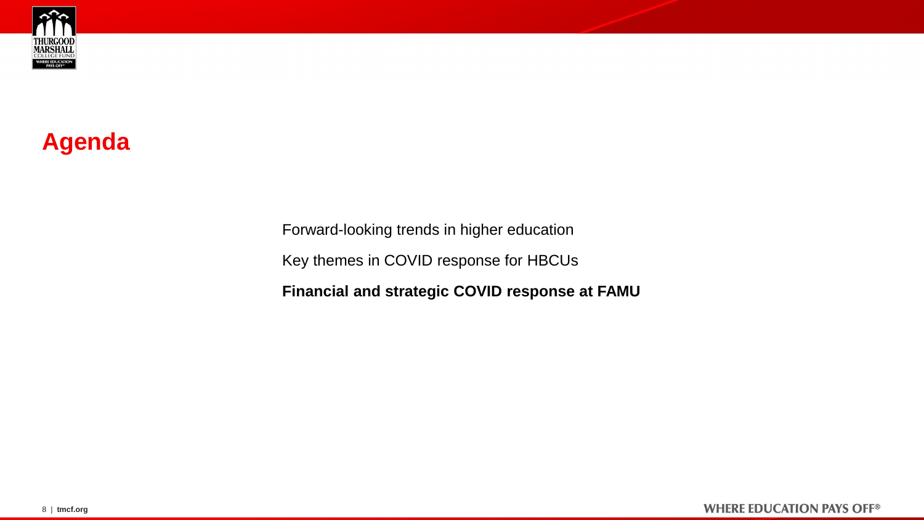<span id="page-7-0"></span>

# **Agenda**

[Forward-looking trends in higher education](#page-1-0) [Key themes in COVID response for HBCUs](#page-3-0) **Financial and strategic COVID response at FAMU**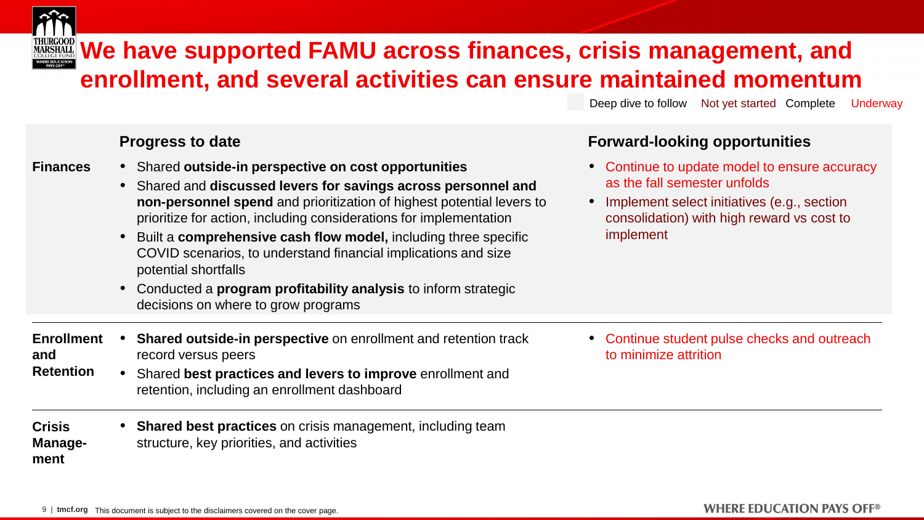

# **WARSHALL WE have supported FAMU across finances, crisis management, and enrollment, and several activities can ensure maintained momentum**

Deep dive to follow Not yet started Complete Underway

**WHERE EDUCATION PAYS OFF®** 

## **Progress to date Forward-looking opportunities**

| <b>Finances</b>                              | • Shared outside-in perspective on cost opportunities<br>• Shared and discussed levers for savings across personnel and<br>non-personnel spend and prioritization of highest potential levers to<br>prioritize for action, including considerations for implementation<br>Built a comprehensive cash flow model, including three specific<br>$\bullet$<br>COVID scenarios, to understand financial implications and size<br>potential shortfalls<br>Conducted a <b>program profitability analysis</b> to inform strategic<br>$\bullet$<br>decisions on where to grow programs | • Continue to update model to ensure accuracy<br>as the fall semester unfolds<br>Implement select initiatives (e.g., section<br>consolidation) with high reward vs cost to<br>implement |
|----------------------------------------------|-------------------------------------------------------------------------------------------------------------------------------------------------------------------------------------------------------------------------------------------------------------------------------------------------------------------------------------------------------------------------------------------------------------------------------------------------------------------------------------------------------------------------------------------------------------------------------|-----------------------------------------------------------------------------------------------------------------------------------------------------------------------------------------|
| <b>Enrollment</b><br>and<br><b>Retention</b> | <b>Shared outside-in perspective on enrollment and retention track</b><br>record versus peers<br>Shared best practices and levers to improve enrollment and<br>retention, including an enrollment dashboard                                                                                                                                                                                                                                                                                                                                                                   | • Continue student pulse checks and outreach<br>to minimize attrition                                                                                                                   |
| <b>Crisis</b><br>Manage-<br>ment             | <b>Shared best practices</b> on crisis management, including team<br>structure, key priorities, and activities                                                                                                                                                                                                                                                                                                                                                                                                                                                                |                                                                                                                                                                                         |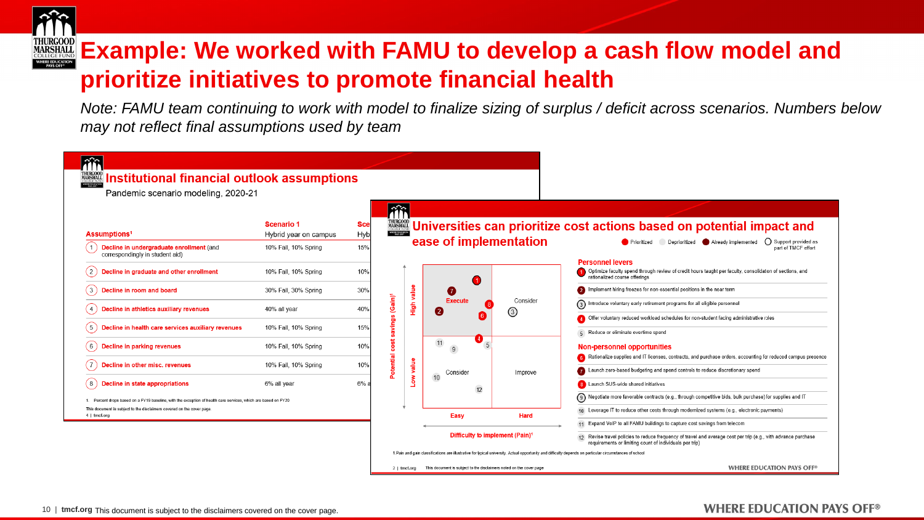

# **EXample: We worked with FAMU to develop a cash flow model and MARSHALL Example: We worked with FAMU to develop a cash flow model and prioritize initiatives to promote financial health**

*Note: FAMU team continuing to work with model to finalize sizing of surplus / deficit across scenarios. Numbers below may not reflect final assumptions used by team*

| îĥ<br><b>www.institutional financial outlook assumptions</b><br>Pandemic scenario modeling, 2020-21         |                       |            |                     |               |                                                                     |                                         |                                                                                                                                                                           |
|-------------------------------------------------------------------------------------------------------------|-----------------------|------------|---------------------|---------------|---------------------------------------------------------------------|-----------------------------------------|---------------------------------------------------------------------------------------------------------------------------------------------------------------------------|
|                                                                                                             |                       |            | âî                  |               |                                                                     |                                         |                                                                                                                                                                           |
|                                                                                                             | <b>Scenario 1</b>     | <b>Sce</b> |                     |               |                                                                     |                                         | <b>WHE Universities can prioritize cost actions based on potential impact and</b>                                                                                         |
| Assumptions <sup>1</sup>                                                                                    | Hybrid year on campus | Hyb        |                     |               | ease of implementation                                              |                                         | ◯ Support provided as<br>Deprioritized Already implemented<br><b>Prioritized</b>                                                                                          |
| Decline in undergraduate enrollment (and<br>correspondingly in student aid)                                 | 10% Fall, 10% Spring  | 15%        |                     |               |                                                                     |                                         | part of TMCF effort                                                                                                                                                       |
| Decline in graduate and other enrollment<br>(2)                                                             | 10% Fall, 10% Spring  | 10%        |                     |               |                                                                     |                                         | <b>Personnel levers</b><br>1 Optimize faculty spend through review of credit hours taught per faculty, consolidation of sections, and<br>rationalized course offerings    |
| (3)<br>Decline in room and board                                                                            | 30% Fall, 30% Spring  | 30%        |                     | value         | 0<br>Ø                                                              |                                         | Implement hiring freezes for non-essential positions in the near term<br>2                                                                                                |
| Decline in athletics auxiliary revenues<br>4)                                                               | 40% all year          | 40%        | (Gain) <sup>1</sup> | $\frac{6}{2}$ | <b>Execute</b>                                                      | Consider<br>$_{\tiny{\textregistered}}$ | 3<br>Introduce voluntary early retirement programs for all eligible personnel                                                                                             |
| Decline in health care services auxiliary revenues<br>5)                                                    | 10% Fall, 10% Spring  | 15%        | $\omega$<br>ğuiv    |               |                                                                     |                                         | 4 Offer voluntary reduced workload schedules for non-student facing administrative roles                                                                                  |
|                                                                                                             |                       |            |                     |               | 4                                                                   |                                         | 5 Reduce or eliminate overtime spend                                                                                                                                      |
| Decline in parking revenues<br>6)                                                                           | 10% Fall, 10% Spring  | 10%        | 耑<br>$\circ$<br>۰   |               | 11<br>9                                                             |                                         | <b>Non-personnel opportunities</b>                                                                                                                                        |
|                                                                                                             |                       |            | ntial               |               |                                                                     |                                         | 6 Rationalize supplies and IT licenses, contracts, and purchase orders, accounting for reduced campus presence                                                            |
| Decline in other misc. revenues                                                                             | 10% Fall, 10% Spring  | 10%        |                     | Low value     | Consider                                                            | Improve                                 | Launch zero-based budgeting and spend controls to reduce discretionary spend                                                                                              |
| Decline in state appropriations<br>(8)                                                                      | 6% all vear           | 6%         |                     |               | 10<br>12                                                            |                                         | 8 Launch SUS-wide shared initiatives                                                                                                                                      |
| Percent drops based on a FY19 baseline, with the exception of health care services, which are based on FY20 |                       |            |                     |               |                                                                     |                                         | (9) Negotiate more favorable contracts (e.g., through competitive bids, bulk purchase) for supplies and IT                                                                |
| This document is subject to the disclaimers covered on the cover page                                       |                       |            |                     |               |                                                                     |                                         | 10 Leverage IT to reduce other costs through modernized systems (e.g., electronic payments)                                                                               |
| $4$   tmcf.org                                                                                              |                       |            |                     |               | Easy                                                                | Hard                                    | Expand VoIP to all FAMU buildings to capture cost savings from telecom                                                                                                    |
|                                                                                                             |                       |            |                     |               | Difficulty to implement (Pain) <sup>1</sup>                         |                                         | 12 Revise travel policies to reduce frequency of travel and average cost per trip (e.g., with advance purchase<br>requirements or limiting count of individuals per trip) |
|                                                                                                             |                       |            |                     |               |                                                                     |                                         | 1. Pain and gain classifications are illustrative for typical university. Actual opportunity and difficulty depends on particular circumstances of school                 |
|                                                                                                             |                       |            | $2 \mid$ tmcf.org   |               | This document is subject to the disclaimers noted on the cover page |                                         | <b>WHERE EDUCATION PAYS OFF®</b>                                                                                                                                          |

#### 10 | **tmcf.org** This document is subject to the disclaimers covered on the cover page.

## **WHERE EDUCATION PAYS OFF®**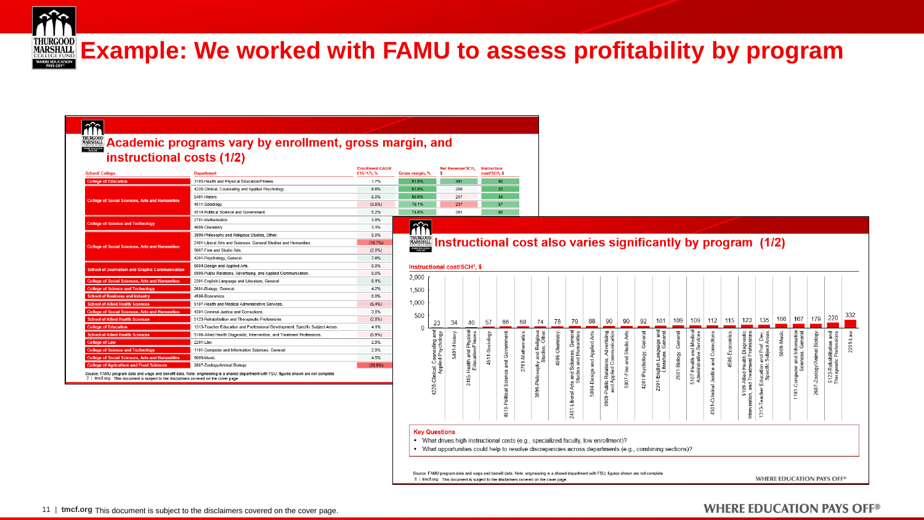

# **Example: We worked with FAMU to assess profitability by program**

cost/SCH, \$

### liñ

### **Academic programs vary by enrollment, gross margin, and** instructional costs (1/2)

| <b>School/ College</b>                                 | <b>Department</b>                                                                                                                      | <b>Enrollment CAGR</b><br>('15-'17), % | <b>Gross margin.</b>            |
|--------------------------------------------------------|----------------------------------------------------------------------------------------------------------------------------------------|----------------------------------------|---------------------------------|
| <b>College of Education</b>                            | 3105-Health and Physical Education/Fitness.                                                                                            | 1.7%                                   | 91.9%                           |
|                                                        | 4228-Clinical, Counseling and Applied Psychology.                                                                                      | 6.6%                                   | 91.9%                           |
|                                                        | 5401-History.                                                                                                                          | 6.0%                                   | 86.9%                           |
| <b>College of Social Sciences, Arts and Humanities</b> | 4511-Sociology.                                                                                                                        | (3.6%)                                 | 76.1%                           |
|                                                        | 4510-Political Science and Government.                                                                                                 | 5.2%                                   | 74.6%                           |
|                                                        | 2701-Mathematics.                                                                                                                      | 3.8%                                   |                                 |
| <b>College of Science and Technology</b>               | 4005-Chemistry.                                                                                                                        | 3 1%                                   |                                 |
|                                                        | 3899-Philosophy and Religious Studies, Other.                                                                                          | 0.0%                                   | <b>THURGO</b>                   |
|                                                        | 2401-Liberal Arts and Sciences, General Studies and Humanities.                                                                        | (16.7%)                                | <b>MARSHA</b><br><b>COLLEGE</b> |
| <b>College of Social Sciences, Arts and Humanities</b> | 5007-Fine and Studio Arts.                                                                                                             | (2.0%                                  | WHERE EDUCA                     |
|                                                        | 4201-Psychology, General.                                                                                                              | 7.6%                                   |                                 |
|                                                        | 5004-Design and Applied Arts.                                                                                                          | 0.0%                                   | Instru                          |
| <b>School of Journalism and Graphic Communication</b>  | 0909-Public Relations, Advertising, and Applied Communication.                                                                         | 0.0%                                   |                                 |
| <b>College of Social Sciences, Arts and Humanities</b> | 2301-English Language and Literature, General,                                                                                         | 8.1%                                   | 2,000                           |
| <b>College of Science and Technology</b>               | 2601-Biology, General.                                                                                                                 | 4.2%                                   | 1,500                           |
| <b>School of Business and Industry</b>                 | 4506-Economics                                                                                                                         | 0.0%                                   |                                 |
| <b>School of Allied Health Sciences</b>                | 5107-Health and Medical Administrative Services.                                                                                       | (5.4%)                                 | 1.000                           |
| <b>College of Social Sciences, Arts and Humanities</b> | 4301-Criminal Justice and Corrections.                                                                                                 | 3.9%                                   |                                 |
| <b>School of Allied Health Sciences</b>                | 5123-Rehabilitation and Therapeutic Professions.                                                                                       | (2.8%)                                 | 500                             |
| <b>College of Education</b>                            | 1313-Teacher Education and Professional Development, Specific Subject Areas.                                                           | 4.1%                                   | $\theta$                        |
| <b>School of Allied Health Sciences</b>                | 5109-Allied Health Diagnostic, Intervention, and Treatment Professions.                                                                | (0.9%                                  |                                 |
| <b>College of Law</b>                                  | 2201-Law.                                                                                                                              | 2.8%                                   |                                 |
| <b>College of Science and Technology</b>               | 1101-Computer and Information Sciences, General,                                                                                       | 2.9%                                   |                                 |
| <b>College of Social Sciences, Arts and Humanities</b> | 5009-Music.                                                                                                                            | 4.5%                                   |                                 |
| <b>College of Agriculture and Food Sciences</b>        | 2607-Zoology/Animal Biology.                                                                                                           | (20.6%                                 |                                 |
|                                                        | Source: FAMU program data and wage and benefit data. Note: engineering is a shared department with FSU: figures shown are not complete |                                        |                                 |

2 | tmcf.org This document is subject to the disclaimers covered on the cover page

## $\frac{200}{20}$  Instructional cost also varies significantly by program (1/2)

| 2,000    |                                                           |              |                                                       |                |                                                |                  |                                                                                                                                                                                            |                |                                                                                     |                                        |                                                                                  |                                   |                            |                                                                              |                           |                                                                 |                                                 |                |                                                                                   |                                                                                        |            |                                                                   |                             |                                                                  |              |
|----------|-----------------------------------------------------------|--------------|-------------------------------------------------------|----------------|------------------------------------------------|------------------|--------------------------------------------------------------------------------------------------------------------------------------------------------------------------------------------|----------------|-------------------------------------------------------------------------------------|----------------------------------------|----------------------------------------------------------------------------------|-----------------------------------|----------------------------|------------------------------------------------------------------------------|---------------------------|-----------------------------------------------------------------|-------------------------------------------------|----------------|-----------------------------------------------------------------------------------|----------------------------------------------------------------------------------------|------------|-------------------------------------------------------------------|-----------------------------|------------------------------------------------------------------|--------------|
| 1,500    |                                                           |              |                                                       |                |                                                |                  |                                                                                                                                                                                            |                |                                                                                     |                                        |                                                                                  |                                   |                            |                                                                              |                           |                                                                 |                                                 |                |                                                                                   |                                                                                        |            |                                                                   |                             |                                                                  |              |
| 1,000    |                                                           |              |                                                       |                |                                                |                  |                                                                                                                                                                                            |                |                                                                                     |                                        |                                                                                  |                                   |                            |                                                                              |                           |                                                                 |                                                 |                |                                                                                   |                                                                                        |            |                                                                   |                             |                                                                  |              |
| 500<br>0 | 23                                                        | 34           | 40                                                    | 57             | 66                                             | 68               | 74                                                                                                                                                                                         | 78             | 79                                                                                  | 88                                     | 90                                                                               | 90                                | 92                         | 101                                                                          | 109                       | 109                                                             | 112                                             | 115            | 123                                                                               | 135                                                                                    | 166        | 167                                                               | 179                         | 220                                                              | 332          |
|          | and<br>Applied Psychology<br>Counseling<br>4228-Clinical, | 5401-History | and Physical<br>Education/Fitness<br>Health.<br>3105- | 4511-Sociology | Government<br>and<br>Science<br>4510-Political | 2701-Mathematics | and Religious<br>Other.<br>Studies,<br>3899-Philosophy                                                                                                                                     | 4005-Chemistry | General<br>s and Sciences, Genera<br>Studies and Humanities<br>Arts<br>2401-Liberal | <b>Applied Arts</b><br>5004-Design and | ions, Advertising,<br>Communication.<br>0909-Public Relations,<br>Applied<br>and | Arts.<br>Studio<br>ă<br>5007-Fine | General<br>4201-Psychology | and<br>ı Language and<br>ature, General.<br>2301-English Lang<br>Literature, | General.<br>2601-Biology, | and Medical<br>Services<br>5107-Health and<br>Administrative \$ | Corrections<br>and<br>-Criminal Justice<br>4301 | 4506-Economics | Diagnostic<br>and Treatment Professions<br>Health<br>5109-Allied<br>Intervention, | Areas.<br>and Prof. Dev.<br>Subject.<br>Specific<br>Education<br>eacher<br>⊢<br>$313-$ | 5009-Music | and Information<br>iences, General.<br>Sciences,<br>1101-Computer | 2607-Zoology/Animal Biology | and<br>Professions<br>5123-Rehabilitation<br>Therapeutic Profess | $2201 - Law$ |
| ٠        | <b>Key Questions</b>                                      |              |                                                       |                |                                                |                  | What drives high instructional costs (e.g., specialized faculty, low enrollment)?<br>What opportunities could help to resolve discrepancies across departments (e.g., combining sections)? |                |                                                                                     |                                        |                                                                                  |                                   |                            |                                                                              |                           |                                                                 |                                                 |                |                                                                                   |                                                                                        |            |                                                                   |                             |                                                                  |              |

### **WHERE EDUCATION PAYS OFF®**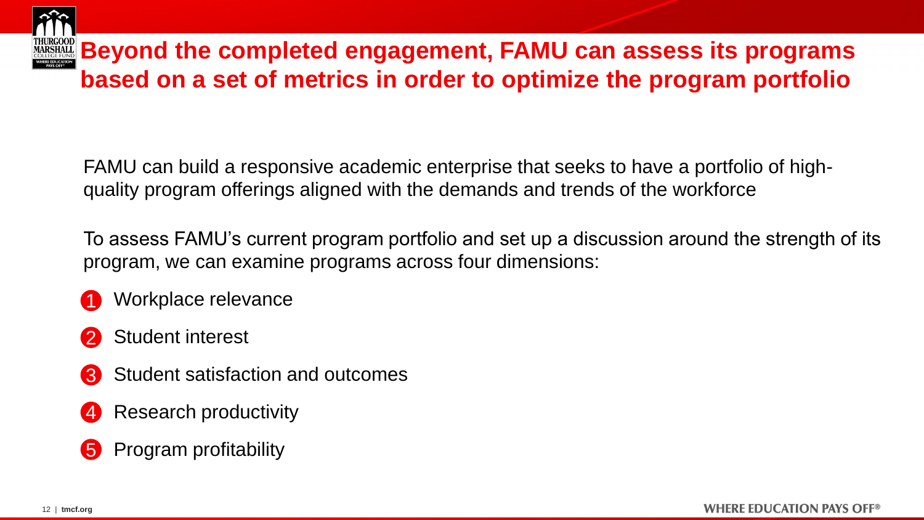

FAMU can build a responsive academic enterprise that seeks to have a portfolio of highquality program offerings aligned with the demands and trends of the workforce

To assess FAMU's current program portfolio and set up a discussion around the strength of its program, we can examine programs across four dimensions:

 Workplace relevance 1

- Student interest 2
- Student satisfaction and outcomes 3
- Research productivity 4
- Program profitability 5